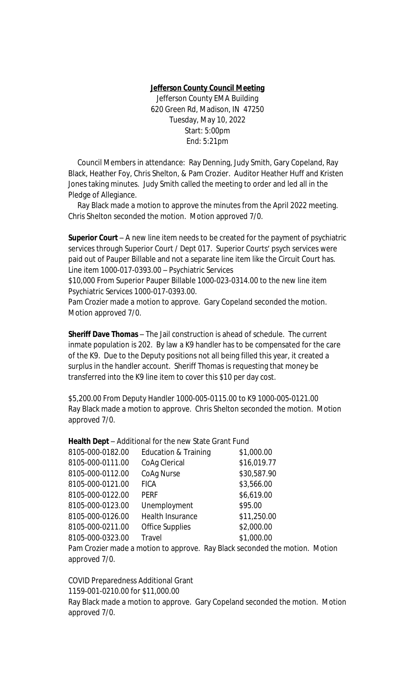## **Jefferson County Council Meeting**

Jefferson County EMA Building 620 Green Rd, Madison, IN 47250 Tuesday, May 10, 2022 Start: 5:00pm End: 5:21pm

 Council Members in attendance: Ray Denning, Judy Smith, Gary Copeland, Ray Black, Heather Foy, Chris Shelton, & Pam Crozier. Auditor Heather Huff and Kristen Jones taking minutes. Judy Smith called the meeting to order and led all in the Pledge of Allegiance.

 Ray Black made a motion to approve the minutes from the April 2022 meeting. Chris Shelton seconded the motion. Motion approved 7/0.

**Superior Court** – A new line item needs to be created for the payment of psychiatric services through Superior Court / Dept 017. Superior Courts' psych services were paid out of Pauper Billable and not a separate line item like the Circuit Court has. Line item 1000-017-0393.00 – Psychiatric Services

\$10,000 From Superior Pauper Billable 1000-023-0314.00 to the new line item Psychiatric Services 1000-017-0393.00.

Pam Crozier made a motion to approve. Gary Copeland seconded the motion. Motion approved 7/0.

**Sheriff Dave Thomas** – The Jail construction is ahead of schedule. The current inmate population is 202. By law a K9 handler has to be compensated for the care of the K9. Due to the Deputy positions not all being filled this year, it created a surplus in the handler account. Sheriff Thomas is requesting that money be transferred into the K9 line item to cover this \$10 per day cost.

\$5,200.00 From Deputy Handler 1000-005-0115.00 to K9 1000-005-0121.00 Ray Black made a motion to approve. Chris Shelton seconded the motion. Motion approved 7/0.

**Health Dept** – Additional for the new State Grant Fund

| 8105-000-0182.00 | <b>Education &amp; Training</b> | \$1,000.00                                                                  |  |
|------------------|---------------------------------|-----------------------------------------------------------------------------|--|
| 8105-000-0111.00 | CoAg Clerical                   | \$16,019.77                                                                 |  |
| 8105-000-0112.00 | CoAq Nurse                      | \$30,587.90                                                                 |  |
| 8105-000-0121.00 | <b>FICA</b>                     | \$3,566.00                                                                  |  |
| 8105-000-0122.00 | <b>PERF</b>                     | \$6,619.00                                                                  |  |
| 8105-000-0123.00 | Unemployment                    | \$95.00                                                                     |  |
| 8105-000-0126.00 | Health Insurance                | \$11,250.00                                                                 |  |
| 8105-000-0211.00 | <b>Office Supplies</b>          | \$2,000.00                                                                  |  |
| 8105-000-0323.00 | <b>Travel</b>                   | \$1,000.00                                                                  |  |
|                  |                                 | Pam Crozier made a motion to approve. Ray Black seconded the motion. Motion |  |
|                  |                                 |                                                                             |  |

approved 7/0.

COVID Preparedness Additional Grant 1159-001-0210.00 for \$11,000.00 Ray Black made a motion to approve. Gary Copeland seconded the motion. Motion approved 7/0.